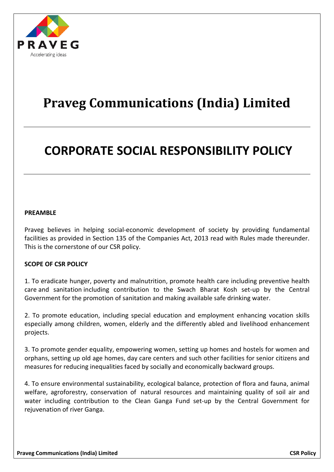

# **Praveg Communications (India) Limited**

# **CORPORATE SOCIAL RESPONSIBILITY POLICY**

#### **PREAMBLE**

Praveg believes in helping social-economic development of society by providing fundamental facilities as provided in Section 135 of the Companies Act, 2013 read with Rules made thereunder. This is the cornerstone of our CSR policy.

## **SCOPE OF CSR POLICY**

1. To eradicate hunger, poverty and malnutrition, promote health care including preventive health care and sanitation including contribution to the Swach Bharat Kosh set-up by the Central Government for the promotion of sanitation and making available safe drinking water.

2. To promote education, including special education and employment enhancing vocation skills especially among children, women, elderly and the differently abled and livelihood enhancement projects.

3. To promote gender equality, empowering women, setting up homes and hostels for women and orphans, setting up old age homes, day care centers and such other facilities for senior citizens and measures for reducing inequalities faced by socially and economically backward groups.

4. To ensure environmental sustainability, ecological balance, protection of flora and fauna, animal welfare, agroforestry, conservation of natural resources and maintaining quality of soil air and water including contribution to the Clean Ganga Fund set-up by the Central Government for rejuvenation of river Ganga.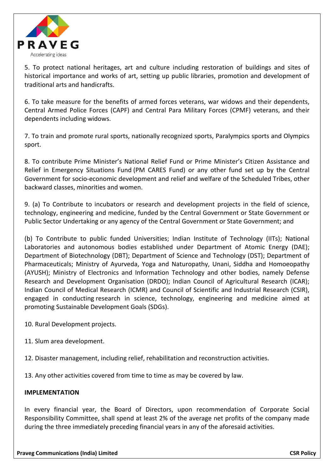

5. To protect national heritages, art and culture including restoration of buildings and sites of historical importance and works of art, setting up public libraries, promotion and development of traditional arts and handicrafts.

6. To take measure for the benefits of armed forces veterans, war widows and their dependents, Central Armed Police Forces (CAPF) and Central Para Military Forces (CPMF) veterans, and their dependents including widows.

7. To train and promote rural sports, nationally recognized sports, Paralympics sports and Olympics sport.

8. To contribute Prime Minister's National Relief Fund or Prime Minister's Citizen Assistance and Relief in Emergency Situations Fund (PM CARES Fund) or any other fund set up by the Central Government for socio-economic development and relief and welfare of the Scheduled Tribes, other backward classes, minorities and women.

9. (a) To Contribute to incubators or research and development projects in the field of science, technology, engineering and medicine, funded by the Central Government or State Government or Public Sector Undertaking or any agency of the Central Government or State Government; and

(b) To Contribute to public funded Universities; Indian Institute of Technology (IITs); National Laboratories and autonomous bodies established under Department of Atomic Energy (DAE); Department of Biotechnology (DBT); Department of Science and Technology (DST); Department of Pharmaceuticals; Ministry of Ayurveda, Yoga and Naturopathy, Unani, Siddha and Homoeopathy (AYUSH); Ministry of Electronics and Information Technology and other bodies, namely Defense Research and Development Organisation (DRDO); Indian Council of Agricultural Research (ICAR); Indian Council of Medical Research (ICMR) and Council of Scientific and Industrial Research (CSIR), engaged in conducting research in science, technology, engineering and medicine aimed at promoting Sustainable Development Goals (SDGs).

10. Rural Development projects.

- 11. Slum area development.
- 12. Disaster management, including relief, rehabilitation and reconstruction activities.

13. Any other activities covered from time to time as may be covered by law.

## **IMPLEMENTATION**

In every financial year, the Board of Directors, upon recommendation of Corporate Social Responsibility Committee, shall spend at least 2% of the average net profits of the company made during the three immediately preceding financial years in any of the aforesaid activities.